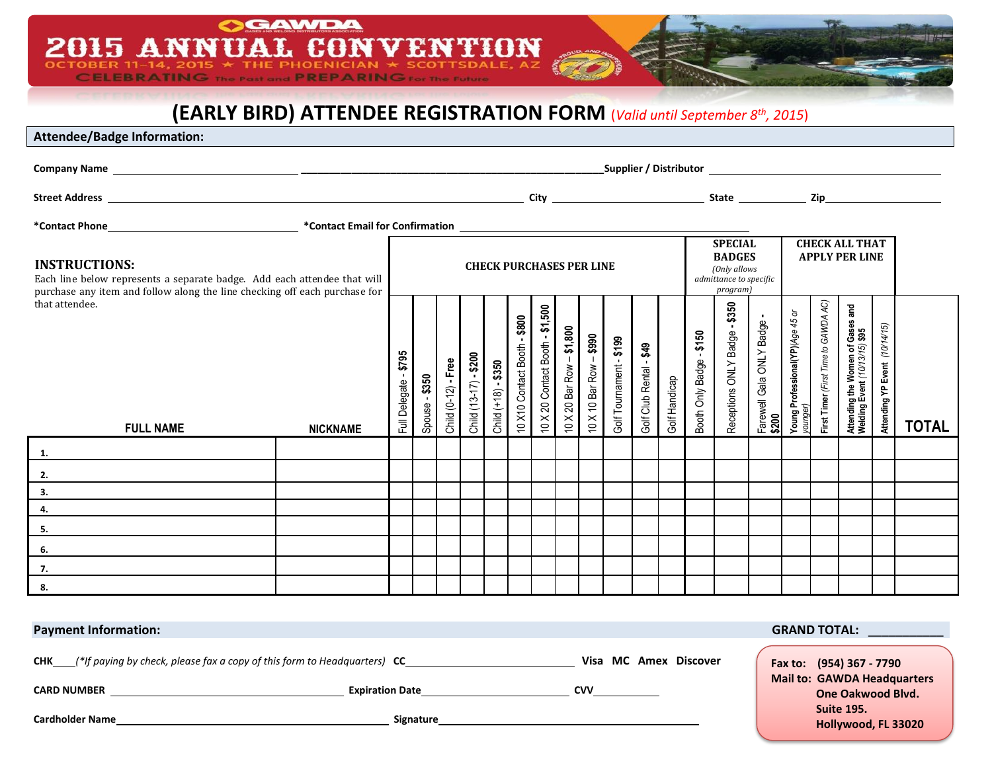# **(EARLY BIRD) ATTENDEE REGISTRATION FORM** (*Valid until September 8th, 2015*)

8N

**GAWDA** 

**CELEBRATING** The Past and **PREPARING** For the Future

V

2015 ANNUAL CON

**Attendee/Badge Information:**

 $\overline{O}C$ 

| <b>INSTRUCTIONS:</b><br>Each line below represents a separate badge. Add each attendee that will<br>purchase any item and follow along the line checking off each purchase for<br>that attendee.<br><b>FULL NAME</b><br><b>NICKNAME</b> |  | <b>CHECK PURCHASES PER LINE</b> |                     |                         |                              |                      |                                   |  |  |  | <b>SPECIAL</b><br><b>BADGES</b><br>(Only allows<br>admittance to specific<br>program)                                  |                                                 |  | <b>CHECK ALL THAT</b><br><b>APPLY PER LINE</b>                                |                                                          |                                              |                                                         |                                                                   |                               |              |
|-----------------------------------------------------------------------------------------------------------------------------------------------------------------------------------------------------------------------------------------|--|---------------------------------|---------------------|-------------------------|------------------------------|----------------------|-----------------------------------|--|--|--|------------------------------------------------------------------------------------------------------------------------|-------------------------------------------------|--|-------------------------------------------------------------------------------|----------------------------------------------------------|----------------------------------------------|---------------------------------------------------------|-------------------------------------------------------------------|-------------------------------|--------------|
|                                                                                                                                                                                                                                         |  | \$795<br>Full Delegate          | - \$350<br>Spouse - | $-Free$<br>Child (0-12) | $-$ \$200<br>Child (13-17) - | Child $(+18) - $350$ | $-$ \$800<br>10 X10 Contact Booth |  |  |  | 10 X 20 Contact Booth - $$1,500$<br>10 X 20 Bar Row - $$1,800$<br>10 X 10 Bar Row - $$990$<br>Golf Tournament - $$199$ | Golf Club Rental - <b>\$49</b><br>Golf Handicap |  | \$350<br>Booth Only Badge - <b>\$150</b><br>Receptions ONLY Badge - <b>\$</b> | <br>  Farewell Gala ONLY Badge -<br>  <mark>\$200</mark> | Young Professional(YP)(Age 45 or<br>younger) | ycones : /<br>First Timer (First Time to GAWDA AC)<br>- | Attending the Women of Gases and<br>Welding Event (10/13/15) \$95 | Attending YP Event (10/14/15) | <b>TOTAL</b> |
| 1.                                                                                                                                                                                                                                      |  |                                 |                     |                         |                              |                      |                                   |  |  |  |                                                                                                                        |                                                 |  |                                                                               |                                                          |                                              |                                                         |                                                                   |                               |              |
|                                                                                                                                                                                                                                         |  |                                 |                     |                         |                              |                      |                                   |  |  |  |                                                                                                                        |                                                 |  |                                                                               |                                                          |                                              |                                                         |                                                                   |                               |              |
| $\begin{array}{c} 2. \\ 3. \end{array}$                                                                                                                                                                                                 |  |                                 |                     |                         |                              |                      |                                   |  |  |  |                                                                                                                        |                                                 |  |                                                                               |                                                          |                                              |                                                         |                                                                   |                               |              |
| 4.                                                                                                                                                                                                                                      |  |                                 |                     |                         |                              |                      |                                   |  |  |  |                                                                                                                        |                                                 |  |                                                                               |                                                          |                                              |                                                         |                                                                   |                               |              |
| 5.                                                                                                                                                                                                                                      |  |                                 |                     |                         |                              |                      |                                   |  |  |  |                                                                                                                        |                                                 |  |                                                                               |                                                          |                                              |                                                         |                                                                   |                               |              |
| 6.                                                                                                                                                                                                                                      |  |                                 |                     |                         |                              |                      |                                   |  |  |  |                                                                                                                        |                                                 |  |                                                                               |                                                          |                                              |                                                         |                                                                   |                               |              |
| 7.                                                                                                                                                                                                                                      |  |                                 |                     |                         |                              |                      |                                   |  |  |  |                                                                                                                        |                                                 |  |                                                                               |                                                          |                                              |                                                         |                                                                   |                               |              |
| 8.                                                                                                                                                                                                                                      |  |                                 |                     |                         |                              |                      |                                   |  |  |  |                                                                                                                        |                                                 |  |                                                                               |                                                          |                                              |                                                         |                                                                   |                               |              |

| <b>Payment Information:</b>                                                                         | <b>GRAND TOTAL:</b>    |                       |                                                         |  |
|-----------------------------------------------------------------------------------------------------|------------------------|-----------------------|---------------------------------------------------------|--|
| $\Box$ (*If paying by check, please fax a copy of this form to Headquarters) $\mathsf{CC}\_$<br>CHK |                        | Visa MC Amex Discover | Fax to: (954) 367 - 7790                                |  |
| <b>CARD NUMBER</b>                                                                                  | <b>Expiration Date</b> | CVV                   | <b>Mail to: GAWDA Headquarters</b><br>One Oakwood Blvd. |  |
| <b>Cardholder Name</b>                                                                              | <b>Signature</b>       |                       | <b>Suite 195.</b><br>Hollywood, FL 33020                |  |